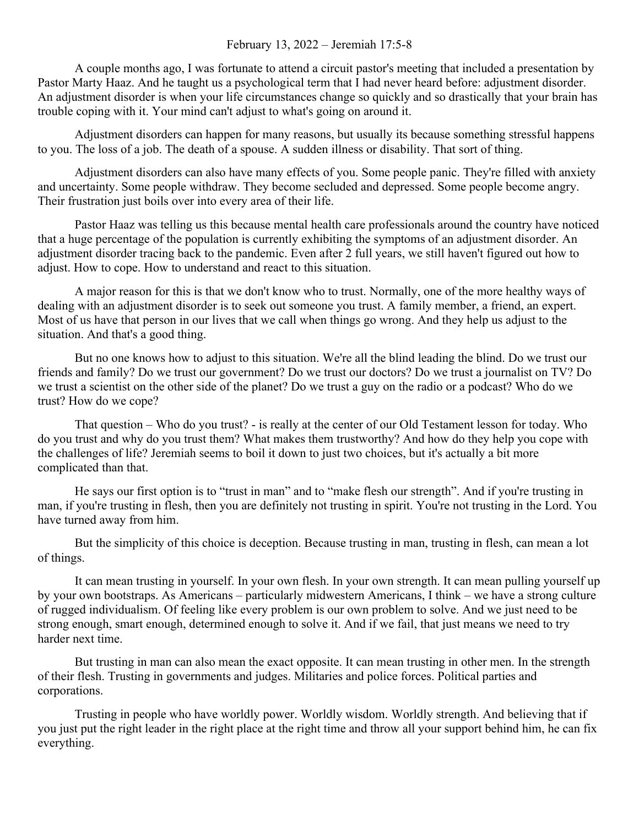## February 13, 2022 – Jeremiah 17:5-8

A couple months ago, I was fortunate to attend a circuit pastor's meeting that included a presentation by Pastor Marty Haaz. And he taught us a psychological term that I had never heard before: adjustment disorder. An adjustment disorder is when your life circumstances change so quickly and so drastically that your brain has trouble coping with it. Your mind can't adjust to what's going on around it.

Adjustment disorders can happen for many reasons, but usually its because something stressful happens to you. The loss of a job. The death of a spouse. A sudden illness or disability. That sort of thing.

Adjustment disorders can also have many effects of you. Some people panic. They're filled with anxiety and uncertainty. Some people withdraw. They become secluded and depressed. Some people become angry. Their frustration just boils over into every area of their life.

Pastor Haaz was telling us this because mental health care professionals around the country have noticed that a huge percentage of the population is currently exhibiting the symptoms of an adjustment disorder. An adjustment disorder tracing back to the pandemic. Even after 2 full years, we still haven't figured out how to adjust. How to cope. How to understand and react to this situation.

A major reason for this is that we don't know who to trust. Normally, one of the more healthy ways of dealing with an adjustment disorder is to seek out someone you trust. A family member, a friend, an expert. Most of us have that person in our lives that we call when things go wrong. And they help us adjust to the situation. And that's a good thing.

But no one knows how to adjust to this situation. We're all the blind leading the blind. Do we trust our friends and family? Do we trust our government? Do we trust our doctors? Do we trust a journalist on TV? Do we trust a scientist on the other side of the planet? Do we trust a guy on the radio or a podcast? Who do we trust? How do we cope?

That question – Who do you trust? - is really at the center of our Old Testament lesson for today. Who do you trust and why do you trust them? What makes them trustworthy? And how do they help you cope with the challenges of life? Jeremiah seems to boil it down to just two choices, but it's actually a bit more complicated than that.

He says our first option is to "trust in man" and to "make flesh our strength". And if you're trusting in man, if you're trusting in flesh, then you are definitely not trusting in spirit. You're not trusting in the Lord. You have turned away from him.

But the simplicity of this choice is deception. Because trusting in man, trusting in flesh, can mean a lot of things.

It can mean trusting in yourself. In your own flesh. In your own strength. It can mean pulling yourself up by your own bootstraps. As Americans – particularly midwestern Americans, I think – we have a strong culture of rugged individualism. Of feeling like every problem is our own problem to solve. And we just need to be strong enough, smart enough, determined enough to solve it. And if we fail, that just means we need to try harder next time.

But trusting in man can also mean the exact opposite. It can mean trusting in other men. In the strength of their flesh. Trusting in governments and judges. Militaries and police forces. Political parties and corporations.

Trusting in people who have worldly power. Worldly wisdom. Worldly strength. And believing that if you just put the right leader in the right place at the right time and throw all your support behind him, he can fix everything.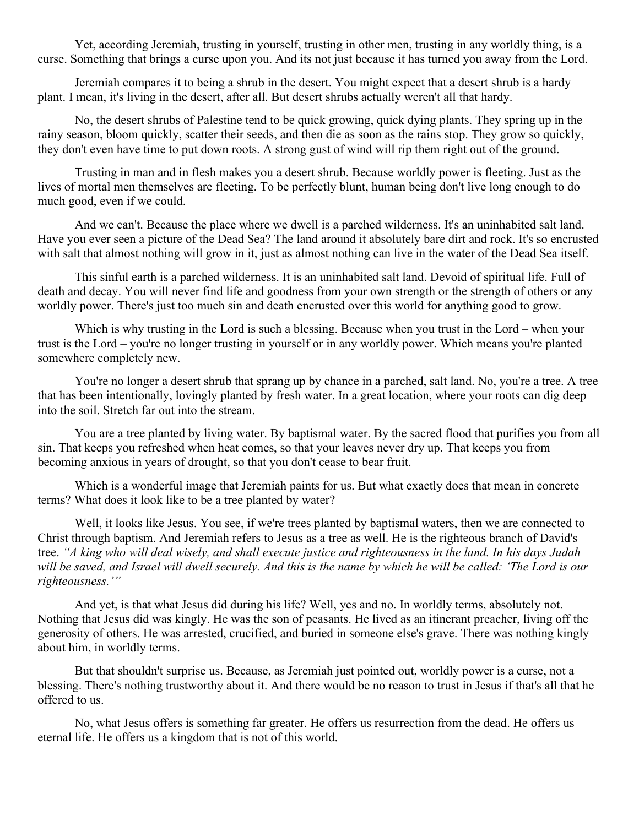Yet, according Jeremiah, trusting in yourself, trusting in other men, trusting in any worldly thing, is a curse. Something that brings a curse upon you. And its not just because it has turned you away from the Lord.

Jeremiah compares it to being a shrub in the desert. You might expect that a desert shrub is a hardy plant. I mean, it's living in the desert, after all. But desert shrubs actually weren't all that hardy.

No, the desert shrubs of Palestine tend to be quick growing, quick dying plants. They spring up in the rainy season, bloom quickly, scatter their seeds, and then die as soon as the rains stop. They grow so quickly, they don't even have time to put down roots. A strong gust of wind will rip them right out of the ground.

Trusting in man and in flesh makes you a desert shrub. Because worldly power is fleeting. Just as the lives of mortal men themselves are fleeting. To be perfectly blunt, human being don't live long enough to do much good, even if we could.

And we can't. Because the place where we dwell is a parched wilderness. It's an uninhabited salt land. Have you ever seen a picture of the Dead Sea? The land around it absolutely bare dirt and rock. It's so encrusted with salt that almost nothing will grow in it, just as almost nothing can live in the water of the Dead Sea itself.

This sinful earth is a parched wilderness. It is an uninhabited salt land. Devoid of spiritual life. Full of death and decay. You will never find life and goodness from your own strength or the strength of others or any worldly power. There's just too much sin and death encrusted over this world for anything good to grow.

Which is why trusting in the Lord is such a blessing. Because when you trust in the Lord – when your trust is the Lord – you're no longer trusting in yourself or in any worldly power. Which means you're planted somewhere completely new.

You're no longer a desert shrub that sprang up by chance in a parched, salt land. No, you're a tree. A tree that has been intentionally, lovingly planted by fresh water. In a great location, where your roots can dig deep into the soil. Stretch far out into the stream.

You are a tree planted by living water. By baptismal water. By the sacred flood that purifies you from all sin. That keeps you refreshed when heat comes, so that your leaves never dry up. That keeps you from becoming anxious in years of drought, so that you don't cease to bear fruit.

Which is a wonderful image that Jeremiah paints for us. But what exactly does that mean in concrete terms? What does it look like to be a tree planted by water?

Well, it looks like Jesus. You see, if we're trees planted by baptismal waters, then we are connected to Christ through baptism. And Jeremiah refers to Jesus as a tree as well. He is the righteous branch of David's tree. *"A king who will deal wisely, and shall execute justice and righteousness in the land. In his days Judah will be saved, and Israel will dwell securely. And this is the name by which he will be called: 'The Lord is our righteousness.'"*

And yet, is that what Jesus did during his life? Well, yes and no. In worldly terms, absolutely not. Nothing that Jesus did was kingly. He was the son of peasants. He lived as an itinerant preacher, living off the generosity of others. He was arrested, crucified, and buried in someone else's grave. There was nothing kingly about him, in worldly terms.

But that shouldn't surprise us. Because, as Jeremiah just pointed out, worldly power is a curse, not a blessing. There's nothing trustworthy about it. And there would be no reason to trust in Jesus if that's all that he offered to us.

No, what Jesus offers is something far greater. He offers us resurrection from the dead. He offers us eternal life. He offers us a kingdom that is not of this world.